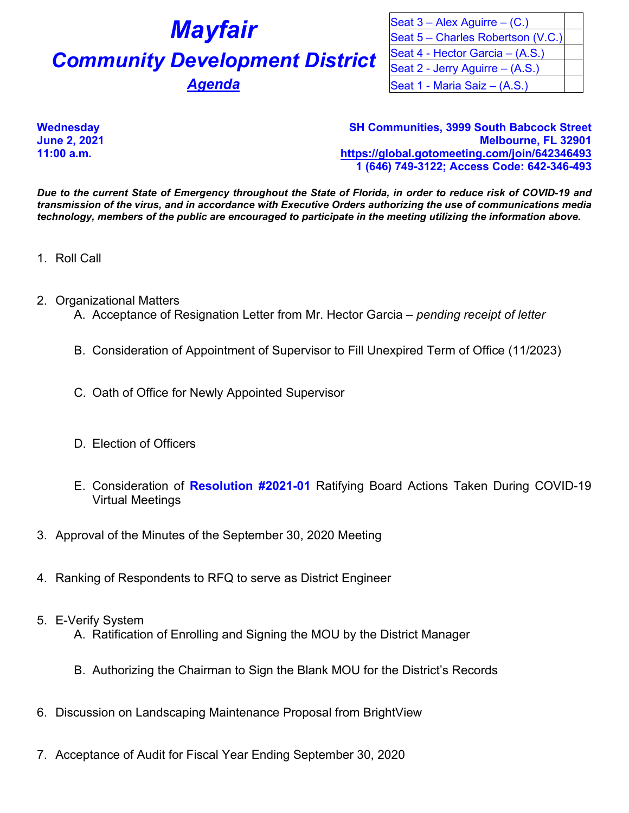## *Mayfair* **Community Development District Agenda**

| Seat $3 -$ Alex Aguirre $-$ (C.)  |  |
|-----------------------------------|--|
| Seat 5 - Charles Robertson (V.C.) |  |
| Seat 4 - Hector Garcia - (A.S.)   |  |
| Seat 2 - Jerry Aguirre – (A.S.)   |  |
| Seat 1 - Maria Saiz - (A.S.)      |  |

**Wednesday SH Communities, 3999 South Babcock Street June 2, 2021 Melbourne, FL 32901 11:00 a.m. <https://global.gotomeeting.com/join/642346493> 1 (646) 749-3122; Access Code: 642-346-493**

*Due to the current State of Emergency throughout the State of Florida, in order to reduce risk of COVID-19 and transmission of the virus, and in accordance with Executive Orders authorizing the use of communications media technology, members of the public are encouraged to participate in the meeting utilizing the information above.*

- 1. Roll Call
- 2. Organizational Matters
	- A. Acceptance of Resignation Letter from Mr. Hector Garcia *pending receipt of letter*
	- B. Consideration of Appointment of Supervisor to Fill Unexpired Term of Office (11/2023)
	- C. Oath of Office for Newly Appointed Supervisor
	- D. Election of Officers
	- E. Consideration of **Resolution #2021-01** Ratifying Board Actions Taken During COVID-19 Virtual Meetings
- 3. Approval of the Minutes of the September 30, 2020 Meeting
- 4. Ranking of Respondents to RFQ to serve as District Engineer
- 5. E-Verify System
	- A. Ratification of Enrolling and Signing the MOU by the District Manager
	- B. Authorizing the Chairman to Sign the Blank MOU for the District's Records
- 6. Discussion on Landscaping Maintenance Proposal from BrightView
- 7. Acceptance of Audit for Fiscal Year Ending September 30, 2020